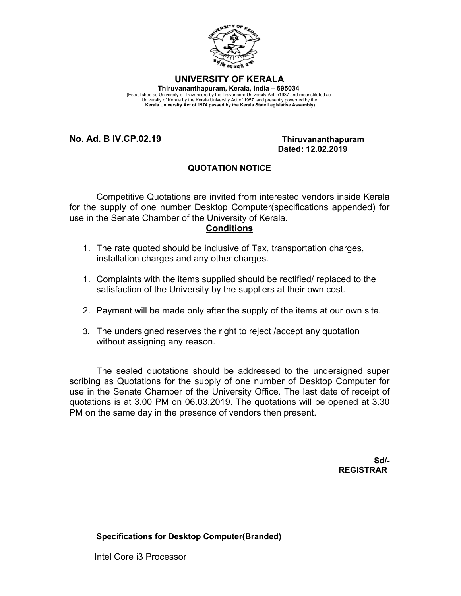

## **UNIVERSITY OF KERALA**

**Thiruvananthapuram, Kerala, India – 695034**  (Established as University of Travancore by the Travancore University Act in1937 and reconstituted as<br>University of Kerala by the Kerala University Act of 1957 and presently governed by the<br>Kerala University Act of 1974 pa

**No. Ad. B IV.CP.02.19 Thiruvananthapuram**

## **Dated: 12.02.2019**

## **QUOTATION NOTICE**

Competitive Quotations are invited from interested vendors inside Kerala for the supply of one number Desktop Computer(specifications appended) for use in the Senate Chamber of the University of Kerala.

## **Conditions**

- 1. The rate quoted should be inclusive of Tax, transportation charges, installation charges and any other charges.
- 1. Complaints with the items supplied should be rectified/ replaced to the satisfaction of the University by the suppliers at their own cost.
- 2. Payment will be made only after the supply of the items at our own site.
- 3. The undersigned reserves the right to reject /accept any quotation without assigning any reason.

The sealed quotations should be addressed to the undersigned super scribing as Quotations for the supply of one number of Desktop Computer for use in the Senate Chamber of the University Office. The last date of receipt of quotations is at 3.00 PM on 06.03.2019. The quotations will be opened at 3.30 PM on the same day in the presence of vendors then present.

> **Sd/- REGISTRAR**

**Specifications for Desktop Computer(Branded)**

Intel Core i3 Processor